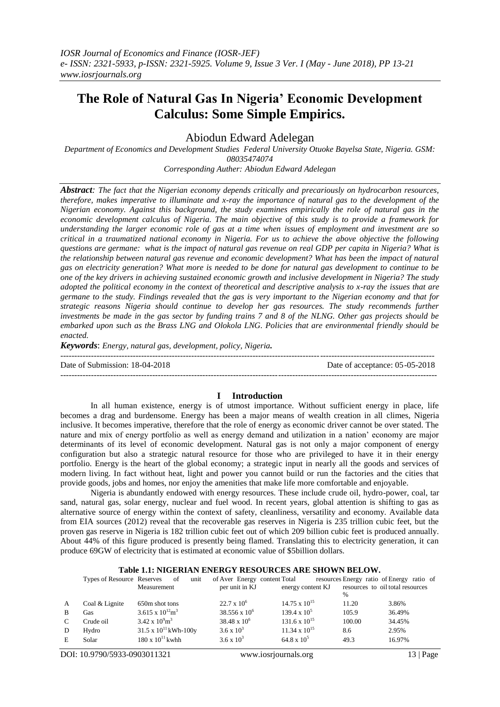# **The Role of Natural Gas In Nigeria' Economic Development Calculus: Some Simple Empirics.**

Abiodun Edward Adelegan

*Department of Economics and Development Studies Federal University Otuoke Bayelsa State, Nigeria. GSM: 08035474074*

*Corresponding Auther: Abiodun Edward Adelegan*

*Abstract: The fact that the Nigerian economy depends critically and precariously on hydrocarbon resources, therefore, makes imperative to illuminate and x-ray the importance of natural gas to the development of the Nigerian economy. Against this background, the study examines empirically the role of natural gas in the economic development calculus of Nigeria. The main objective of this study is to provide a framework for understanding the larger economic role of gas at a time when issues of employment and investment are so critical in a traumatized national economy in Nigeria. For us to achieve the above objective the following questions are germane: what is the impact of natural gas revenue on real GDP per capita in Nigeria? What is the relationship between natural gas revenue and economic development? What has been the impact of natural gas on electricity generation? What more is needed to be done for natural gas development to continue to be one of the key drivers in achieving sustained economic growth and inclusive development in Nigeria? The study adopted the political economy in the context of theoretical and descriptive analysis to x-ray the issues that are germane to the study. Findings revealed tha*t *the gas is very important to the Nigerian economy and that for strategic reasons Nigeria should continue to develop her gas resources. The study recommends further investments be made in the gas sector by funding trains 7 and 8 of the NLNG. Other gas projects should be embarked upon such as the Brass LNG and Olokola LNG. Policies that are environmental friendly should be enacted.*

*Keywords*: *Energy, natural gas, development, policy, Nigeria.*

-------------------------------------------------------------------------------------------------------------------------------------- Date of Submission: 18-04-2018 Date of acceptance: 05-05-2018 ---------------------------------------------------------------------------------------------------------------------------------------

#### **I Introduction**

In all human existence, energy is of utmost importance. Without sufficient energy in place, life becomes a drag and burdensome. Energy has been a major means of wealth creation in all climes, Nigeria inclusive. It becomes imperative, therefore that the role of energy as economic driver cannot be over stated. The nature and mix of energy portfolio as well as energy demand and utilization in a nation' economy are major determinants of its level of economic development. Natural gas is not only a major component of energy configuration but also a strategic natural resource for those who are privileged to have it in their energy portfolio. Energy is the heart of the global economy; a strategic input in nearly all the goods and services of modern living. In fact without heat, light and power you cannot build or run the factories and the cities that provide goods, jobs and homes, nor enjoy the amenities that make life more comfortable and enjoyable.

Nigeria is abundantly endowed with energy resources. These include crude oil, hydro-power, coal, tar sand, natural gas, solar energy, nuclear and fuel wood. In recent years, global attention is shifting to gas as alternative source of energy within the context of safety, cleanliness, versatility and economy. Available data from EIA sources (2012) reveal that the recoverable gas reserves in Nigeria is 235 trillion cubic feet, but the proven gas reserve in Nigeria is 182 trillion cubic feet out of which 209 billion cubic feet is produced annually. About 44% of this figure produced is presently being flamed. Translating this to electricity generation, it can produce 69GW of electricity that is estimated at economic value of \$5billion dollars.

#### **Table 1.1: NIGERIAN ENERGY RESOURCES ARE SHOWN BELOW.**

|              | Types of Resource Reserves | <sub>of</sub><br>unit                 | of Aver Energy content Total |                        |               | resources Energy ratio of Energy ratio of |
|--------------|----------------------------|---------------------------------------|------------------------------|------------------------|---------------|-------------------------------------------|
|              |                            | Measurement                           | per unit in KJ               | energy content KJ      |               | resources to oil total resources          |
|              |                            |                                       |                              |                        | $\frac{0}{0}$ |                                           |
| A            | Coal & Lignite             | 650m shot tons                        | $22.7 \times 10^6$           | $14.75 \times 10^{15}$ | 11.20         | 3.86%                                     |
| <sup>B</sup> | Gas                        | $3.615 \times 10^{12}$ m <sup>3</sup> | $38.556 \times 10^6$         | $139.4 \times 10^5$    | 105.9         | 36.49%                                    |
| C            | Crude oil                  | $3.42 \times 10^{9}$ m <sup>3</sup>   | $38.48 \times 10^6$          | $131.6 \times 10^{15}$ | 100.00        | 34.45%                                    |
| D            | Hydro                      | $31.5 \times 10^{11}$ kWh-100y        | 3.6 x $10^3$                 | $11.34 \times 10^{15}$ | 8.6           | 2.95%                                     |
| E            | Solar                      | $180 \times 10^{11}$ kwhh             | $3.6 \times 10^3$            | $64.8 \times 10^5$     | 49.3          | 16.97%                                    |
|              |                            |                                       |                              |                        |               |                                           |

DOI: 10.9790/5933-0903011321 www.iosrjournals.org 13 | Page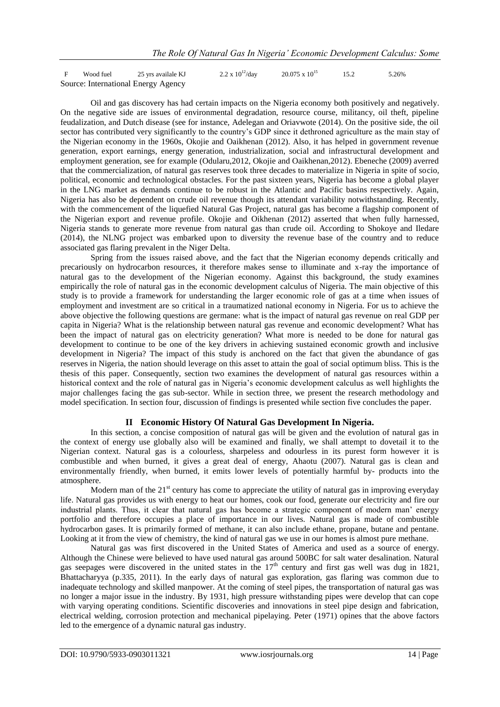F Wood fuel 25 yrs availale KJ  $2.2 \times 10^{12}$ /day  $20.075 \times 10^{15}$  15.2 5.26% Source: International Energy Agency

Oil and gas discovery has had certain impacts on the Nigeria economy both positively and negatively. On the negative side are issues of environmental degradation, resource course, militancy, oil theft, pipeline feudalization, and Dutch disease (see for instance, Adelegan and Oriavwote (2014). On the positive side, the oil sector has contributed very significantly to the country's GDP since it dethroned agriculture as the main stay of the Nigerian economy in the 1960s, Okojie and Oaikhenan (2012). Also, it has helped in government revenue generation, export earnings, energy generation, industrialization, social and infrastructural development and employment generation, see for example (Odularu,2012, Okojie and Oaikhenan,2012). Ebeneche (2009) averred that the commercialization, of natural gas reserves took three decades to materialize in Nigeria in spite of socio, political, economic and technological obstacles. For the past sixteen years, Nigeria has become a global player in the LNG market as demands continue to be robust in the Atlantic and Pacific basins respectively. Again, Nigeria has also be dependent on crude oil revenue though its attendant variability notwithstanding. Recently, with the commencement of the liquefied Natural Gas Project, natural gas has become a flagship component of the Nigerian export and revenue profile. Okojie and Oikhenan (2012) asserted that when fully harnessed, Nigeria stands to generate more revenue from natural gas than crude oil. According to Shokoye and Iledare (2014), the NLNG project was embarked upon to diversity the revenue base of the country and to reduce associated gas flaring prevalent in the Niger Delta.

Spring from the issues raised above, and the fact that the Nigerian economy depends critically and precariously on hydrocarbon resources, it therefore makes sense to illuminate and x-ray the importance of natural gas to the development of the Nigerian economy. Against this background, the study examines empirically the role of natural gas in the economic development calculus of Nigeria. The main objective of this study is to provide a framework for understanding the larger economic role of gas at a time when issues of employment and investment are so critical in a traumatized national economy in Nigeria. For us to achieve the above objective the following questions are germane: what is the impact of natural gas revenue on real GDP per capita in Nigeria? What is the relationship between natural gas revenue and economic development? What has been the impact of natural gas on electricity generation? What more is needed to be done for natural gas development to continue to be one of the key drivers in achieving sustained economic growth and inclusive development in Nigeria? The impact of this study is anchored on the fact that given the abundance of gas reserves in Nigeria, the nation should leverage on this asset to attain the goal of social optimum bliss. This is the thesis of this paper. Consequently, section two examines the development of natural gas resources within a historical context and the role of natural gas in Nigeria's economic development calculus as well highlights the major challenges facing the gas sub-sector. While in section three, we present the research methodology and model specification. In section four, discussion of findings is presented while section five concludes the paper.

#### **II Economic History Of Natural Gas Development In Nigeria.**

In this section, a concise composition of natural gas will be given and the evolution of natural gas in the context of energy use globally also will be examined and finally, we shall attempt to dovetail it to the Nigerian context. Natural gas is a colourless, sharpeless and odourless in its purest form however it is combustible and when burned, it gives a great deal of energy, Ahaotu (2007). Natural gas is clean and environmentally friendly, when burned, it emits lower levels of potentially harmful by- products into the atmosphere.

Modern man of the  $21<sup>st</sup>$  century has come to appreciate the utility of natural gas in improving everyday life. Natural gas provides us with energy to heat our homes, cook our food, generate our electricity and fire our industrial plants. Thus, it clear that natural gas has become a strategic component of modern man' energy portfolio and therefore occupies a place of importance in our lives. Natural gas is made of combustible hydrocarbon gases. It is primarily formed of methane, it can also include ethane, propane, butane and pentane. Looking at it from the view of chemistry, the kind of natural gas we use in our homes is almost pure methane.

Natural gas was first discovered in the United States of America and used as a source of energy. Although the Chinese were believed to have used natural gas around 500BC for salt water desalination. Natural gas seepages were discovered in the united states in the  $17<sup>th</sup>$  century and first gas well was dug in 1821, Bhattacharyya (p.335, 2011). In the early days of natural gas exploration, gas flaring was common due to inadequate technology and skilled manpower. At the coming of steel pipes, the transportation of natural gas was no longer a major issue in the industry. By 1931, high pressure withstanding pipes were develop that can cope with varying operating conditions. Scientific discoveries and innovations in steel pipe design and fabrication, electrical welding, corrosion protection and mechanical pipelaying. Peter (1971) opines that the above factors led to the emergence of a dynamic natural gas industry.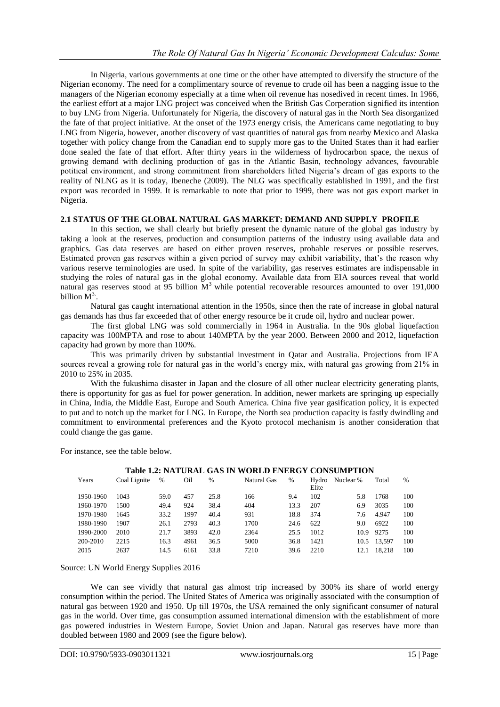In Nigeria, various governments at one time or the other have attempted to diversify the structure of the Nigerian economy. The need for a complimentary source of revenue to crude oil has been a nagging issue to the managers of the Nigerian economy especially at a time when oil revenue has nosedived in recent times. In 1966, the earliest effort at a major LNG project was conceived when the British Gas Corperation signified its intention to buy LNG from Nigeria. Unfortunately for Nigeria, the discovery of natural gas in the North Sea disorganized the fate of that project initiative. At the onset of the 1973 energy crisis, the Americans came negotiating to buy LNG from Nigeria, however, another discovery of vast quantities of natural gas from nearby Mexico and Alaska together with policy change from the Canadian end to supply more gas to the United States than it had earlier done sealed the fate of that effort. After thirty years in the wilderness of hydrocarbon space, the nexus of growing demand with declining production of gas in the Atlantic Basin, technology advances, favourable potitical environment, and strong commitment from shareholders lifted Nigeria's dream of gas exports to the reality of NLNG as it is today, Ibeneche (2009). The NLG was specifically established in 1991, and the first export was recorded in 1999. It is remarkable to note that prior to 1999, there was not gas export market in Nigeria.

#### **2.1 STATUS OF THE GLOBAL NATURAL GAS MARKET: DEMAND AND SUPPLY PROFILE**

In this section, we shall clearly but briefly present the dynamic nature of the global gas industry by taking a look at the reserves, production and consumption patterns of the industry using available data and graphics. Gas data reserves are based on either proven reserves, probable reserves or possible reserves. Estimated proven gas reserves within a given period of survey may exhibit variability, that's the reason why various reserve terminologies are used. In spite of the variability, gas reserves estimates are indispensable in studying the roles of natural gas in the global economy. Available data from EIA sources reveal that world natural gas reserves stood at  $95$  billion  $\overline{M}^3$  while potential recoverable resources amounted to over 191,000 billion  $\mathbf{M}^{3}$ .

Natural gas caught international attention in the 1950s, since then the rate of increase in global natural gas demands has thus far exceeded that of other energy resource be it crude oil, hydro and nuclear power.

The first global LNG was sold commercially in 1964 in Australia. In the 90s global liquefaction capacity was 100MPTA and rose to about 140MPTA by the year 2000. Between 2000 and 2012, liquefaction capacity had grown by more than 100%.

This was primarily driven by substantial investment in Qatar and Australia. Projections from IEA sources reveal a growing role for natural gas in the world's energy mix, with natural gas growing from 21% in 2010 to 25% in 2035.

With the fukushima disaster in Japan and the closure of all other nuclear electricity generating plants, there is opportunity for gas as fuel for power generation. In addition, newer markets are springing up especially in China, India, the Middle East, Europe and South America. China five year gasification policy, it is expected to put and to notch up the market for LNG. In Europe, the North sea production capacity is fastly dwindling and commitment to environmental preferences and the Kyoto protocol mechanism is another consideration that could change the gas game.

For instance, see the table below.

| <b>Table 1.2: NATURAL GAS IN WORLD ENERGY CONSUMPTION</b> |              |      |      |      |             |      |                |           |        |      |
|-----------------------------------------------------------|--------------|------|------|------|-------------|------|----------------|-----------|--------|------|
| Years                                                     | Coal Lignite | %    | Oil  | $\%$ | Natural Gas | $\%$ | Hydro<br>Elite | Nuclear % | Total  | $\%$ |
| 1950-1960                                                 | 1043         | 59.0 | 457  | 25.8 | 166         | 9.4  | 102            | 5.8       | 1768   | 100  |
| 1960-1970                                                 | 1500         | 49.4 | 924  | 38.4 | 404         | 13.3 | 207            | 6.9       | 3035   | 100  |
| 1970-1980                                                 | 1645         | 33.2 | 1997 | 40.4 | 931         | 18.8 | 374            | 7.6       | 4.947  | 100  |
| 1980-1990                                                 | 1907         | 26.1 | 2793 | 40.3 | 1700        | 24.6 | 622            | 9.0       | 6922   | 100  |
| 1990-2000                                                 | 2010         | 21.7 | 3893 | 42.0 | 2364        | 25.5 | 1012           | 10.9      | 9275   | 100  |
| 200-2010                                                  | 2215         | 16.3 | 4961 | 36.5 | 5000        | 36.8 | 1421           | 10.5      | 13,597 | 100  |
| 2015                                                      | 2637         | 14.5 | 6161 | 33.8 | 7210        | 39.6 | 2210           | 12.1      | 18.218 | 100  |

Source: UN World Energy Supplies 2016

We can see vividly that natural gas almost trip increased by 300% its share of world energy consumption within the period. The United States of America was originally associated with the consumption of natural gas between 1920 and 1950. Up till 1970s, the USA remained the only significant consumer of natural gas in the world. Over time, gas consumption assumed international dimension with the establishment of more gas powered industries in Western Europe, Soviet Union and Japan. Natural gas reserves have more than doubled between 1980 and 2009 (see the figure below).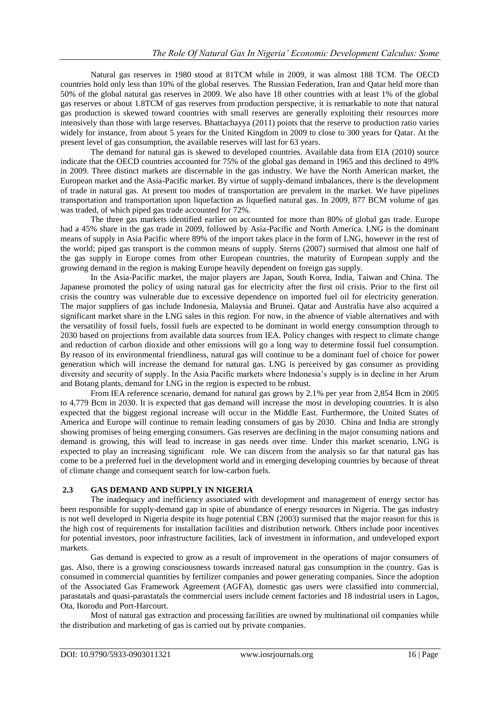Natural gas reserves in 1980 stood at 81TCM while in 2009, it was almost 188 TCM. The OECD countries hold only less than 10% of the global reserves. The Russian Federation, Iran and Qatar held more than 50% of the global natural gas reserves in 2009. We also have 18 other countries with at least 1% of the global gas reserves or about 1.8TCM of gas reserves from production perspective, it is remarkable to note that natural gas production is skewed toward countries with small reserves are generally exploiting their resources more intensively than those with large reserves. Bhattachayya (2011) points that the reserve to production ratio varies widely for instance, from about 5 years for the United Kingdom in 2009 to close to 300 years for Qatar. At the present level of gas consumption, the available reserves will last for 63 years.

The demand for natural gas is skewed to developed countries. Available data from EIA (2010) source indicate that the OECD countries accounted for 75% of the global gas demand in 1965 and this declined to 49% in 2009. Three distinct markets are discernable in the gas industry. We have the North American market, the European market and the Asia-Pacific market. By virtue of supply-demand imbalances, there is the development of trade in natural gas. At present too modes of transportation are prevalent in the market. We have pipelines transportation and transportation upon liquefaction as liquefied natural gas. In 2009, 877 BCM volume of gas was traded, of which piped gas trade accounted for 72%.

The three gas markets identified earlier on accounted for more than 80% of global gas trade. Europe had a 45% share in the gas trade in 2009, followed by Asia-Pacific and North America. LNG is the dominant means of supply in Asia Pacific where 89% of the import takes place in the form of LNG, however in the rest of the world; piped gas transport is the common means of supply. Sterns (2007) surmised that almost one half of the gas supply in Europe comes from other European countries, the maturity of European supply and the growing demand in the region is making Europe heavily dependent on foreign gas supply.

In the Asia-Pacific market, the major players are Japan, South Korea, India, Taiwan and China. The Japanese promoted the policy of using natural gas for electricity after the first oil crisis. Prior to the first oil crisis the country was vulnerable due to excessive dependence on imported fuel oil for electricity generation. The major suppliers of gas include Indonesia, Malaysia and Brunei. Qatar and Australia have also acquired a significant market share in the LNG sales in this region. For now, in the absence of viable alternatives and with the versatility of fossil fuels, fossil fuels are expected to be dominant in world energy consumption through to 2030 based on projections from available data sources from IEA. Policy changes with respect to climate change and reduction of carbon dioxide and other emissions will go a long way to determine fossil fuel consumption. By reason of its environmental friendliness, natural gas will continue to be a dominant fuel of choice for power generation which will increase the demand for natural gas. LNG is perceived by gas consumer as providing diversity and security of supply. In the Asia Pacific markets where Indonesia's supply is in decline in her Arum and Botang plants, demand for LNG in the region is expected to be robust.

From IEA reference scenario, demand for natural gas grows by 2.1% per year from 2,854 Bcm in 2005 to 4,779 Bcm in 2030. It is expected that gas demand will increase the most in developing countries. It is also expected that the biggest regional increase will occur in the Middle East. Furthermore, the United States of America and Europe will continue to remain leading consumers of gas by 2030. China and India are strongly showing promises of being emerging consumers. Gas reserves are declining in the major consuming nations and demand is growing, this will lead to increase in gas needs over time. Under this market scenario, LNG is expected to play an increasing significant role. We can discern from the analysis so far that natural gas has come to be a preferred fuel in the development world and in emerging developing countries by because of threat of climate change and consequent search for low-carbon fuels.

#### **2.3 GAS DEMAND AND SUPPLY IN NIGERIA**

The inadequacy and inefficiency associated with development and management of energy sector has been responsible for supply-demand gap in spite of abundance of energy resources in Nigeria. The gas industry is not well developed in Nigeria despite its huge potential CBN (2003) surmised that the major reason for this is the high cost of requirements for installation facilities and distribution network. Others include poor incentives for potential investors, poor infrastructure facilities, lack of investment in information, and undeveloped export markets.

Gas demand is expected to grow as a result of improvement in the operations of major consumers of gas. Also, there is a growing consciousness towards increased natural gas consumption in the country. Gas is consumed in commercial quantities by fertilizer companies and power generating companies. Since the adoption of the Associated Gas Framework Agreement (AGFA), domestic gas users were classified into commercial, parastatals and quasi-parastatals the commercial users include cement factories and 18 industrial users in Lagos, Ota, Ikorodu and Port-Harcourt.

Most of natural gas extraction and processing facilities are owned by multinational oil companies while the distribution and marketing of gas is carried out by private companies.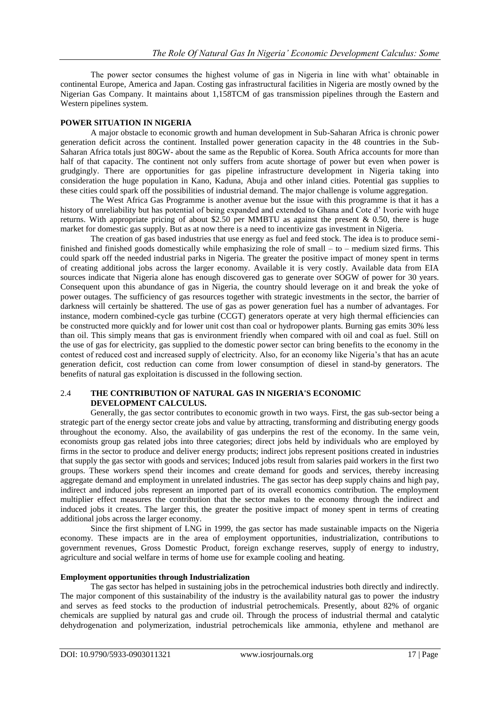The power sector consumes the highest volume of gas in Nigeria in line with what' obtainable in continental Europe, America and Japan. Costing gas infrastructural facilities in Nigeria are mostly owned by the Nigerian Gas Company. It maintains about 1,158TCM of gas transmission pipelines through the Eastern and Western pipelines system.

#### **POWER SITUATION IN NIGERIA**

A major obstacle to economic growth and human development in Sub-Saharan Africa is chronic power generation deficit across the continent. Installed power generation capacity in the 48 countries in the Sub-Saharan Africa totals just 80GW- about the same as the Republic of Korea. South Africa accounts for more than half of that capacity. The continent not only suffers from acute shortage of power but even when power is grudgingly. There are opportunities for gas pipeline infrastructure development in Nigeria taking into consideration the huge population in Kano, Kaduna, Abuja and other inland cities. Potential gas supplies to these cities could spark off the possibilities of industrial demand. The major challenge is volume aggregation.

The West Africa Gas Programme is another avenue but the issue with this programme is that it has a history of unreliability but has potential of being expanded and extended to Ghana and Cote d' Ivorie with huge returns. With appropriate pricing of about \$2.50 per MMBTU as against the present & 0.50, there is huge market for domestic gas supply. But as at now there is a need to incentivize gas investment in Nigeria.

The creation of gas based industries that use energy as fuel and feed stock. The idea is to produce semifinished and finished goods domestically while emphasizing the role of small – to – medium sized firms. This could spark off the needed industrial parks in Nigeria. The greater the positive impact of money spent in terms of creating additional jobs across the larger economy. Available it is very costly. Available data from EIA sources indicate that Nigeria alone has enough discovered gas to generate over SOGW of power for 30 years. Consequent upon this abundance of gas in Nigeria, the country should leverage on it and break the yoke of power outages. The sufficiency of gas resources together with strategic investments in the sector, the barrier of darkness will certainly be shattered. The use of gas as power generation fuel has a number of advantages. For instance, modern combined-cycle gas turbine (CCGT) generators operate at very high thermal efficiencies can be constructed more quickly and for lower unit cost than coal or hydropower plants. Burning gas emits 30% less than oil. This simply means that gas is environment friendly when compared with oil and coal as fuel. Still on the use of gas for electricity, gas supplied to the domestic power sector can bring benefits to the economy in the contest of reduced cost and increased supply of electricity. Also, for an economy like Nigeria's that has an acute generation deficit, cost reduction can come from lower consumption of diesel in stand-by generators. The benefits of natural gas exploitation is discussed in the following section.

#### 2.4 **THE CONTRIBUTION OF NATURAL GAS IN NIGERIA'S ECONOMIC DEVELOPMENT CALCULUS.**

Generally, the gas sector contributes to economic growth in two ways. First, the gas sub-sector being a strategic part of the energy sector create jobs and value by attracting, transforming and distributing energy goods throughout the economy. Also, the availability of gas underpins the rest of the economy. In the same vein, economists group gas related jobs into three categories; direct jobs held by individuals who are employed by firms in the sector to produce and deliver energy products; indirect jobs represent positions created in industries that supply the gas sector with goods and services; Induced jobs result from salaries paid workers in the first two groups. These workers spend their incomes and create demand for goods and services, thereby increasing aggregate demand and employment in unrelated industries. The gas sector has deep supply chains and high pay, indirect and induced jobs represent an imported part of its overall economics contribution. The employment multiplier effect measures the contribution that the sector makes to the economy through the indirect and induced jobs it creates. The larger this, the greater the positive impact of money spent in terms of creating additional jobs across the larger economy.

Since the first shipment of LNG in 1999, the gas sector has made sustainable impacts on the Nigeria economy. These impacts are in the area of employment opportunities, industrialization, contributions to government revenues, Gross Domestic Product, foreign exchange reserves, supply of energy to industry, agriculture and social welfare in terms of home use for example cooling and heating.

#### **Employment opportunities through Industrialization**

The gas sector has helped in sustaining jobs in the petrochemical industries both directly and indirectly. The major component of this sustainability of the industry is the availability natural gas to power the industry and serves as feed stocks to the production of industrial petrochemicals. Presently, about 82% of organic chemicals are supplied by natural gas and crude oil. Through the process of industrial thermal and catalytic dehydrogenation and polymerization, industrial petrochemicals like ammonia, ethylene and methanol are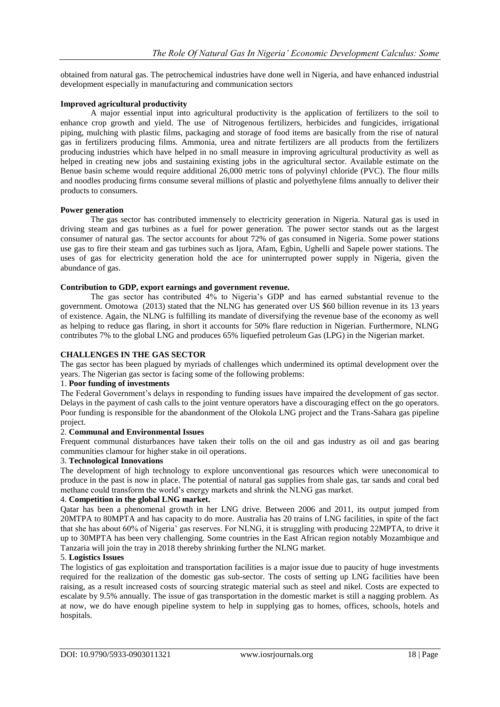obtained from natural gas. The petrochemical industries have done well in Nigeria, and have enhanced industrial development especially in manufacturing and communication sectors

#### **Improved agricultural productivity**

A major essential input into agricultural productivity is the application of fertilizers to the soil to enhance crop growth and yield. The use of Nitrogenous fertilizers, herbicides and fungicides, irrigational piping, mulching with plastic films, packaging and storage of food items are basically from the rise of natural gas in fertilizers producing films. Ammonia, urea and nitrate fertilizers are all products from the fertilizers producing industries which have helped in no small measure in improving agricultural productivity as well as helped in creating new jobs and sustaining existing jobs in the agricultural sector. Available estimate on the Benue basin scheme would require additional 26,000 metric tons of polyvinyl chloride (PVC). The flour mills and noodles producing firms consume several millions of plastic and polyethylene films annually to deliver their products to consumers.

#### **Power generation**

The gas sector has contributed immensely to electricity generation in Nigeria. Natural gas is used in driving steam and gas turbines as a fuel for power generation. The power sector stands out as the largest consumer of natural gas. The sector accounts for about 72% of gas consumed in Nigeria. Some power stations use gas to fire their steam and gas turbines such as Ijora, Afam, Egbin, Ughelli and Sapele power stations. The uses of gas for electricity generation hold the ace for uninterrupted power supply in Nigeria, given the abundance of gas.

#### **Contribution to GDP, export earnings and government revenue.**

The gas sector has contributed 4% to Nigeria's GDP and has earned substantial revenue to the government. Omotowa (2013) stated that the NLNG has generated over US \$60 billion revenue in its 13 years of existence. Again, the NLNG is fulfilling its mandate of diversifying the revenue base of the economy as well as helping to reduce gas flaring, in short it accounts for 50% flare reduction in Nigerian. Furthermore, NLNG contributes 7% to the global LNG and produces 65% liquefied petroleum Gas (LPG) in the Nigerian market.

#### **CHALLENGES IN THE GAS SECTOR**

The gas sector has been plagued by myriads of challenges which undermined its optimal development over the years. The Nigerian gas sector is facing some of the following problems:

#### 1. **Poor funding of investments**

The Federal Government's delays in responding to funding issues have impaired the development of gas sector. Delays in the payment of cash calls to the joint venture operators have a discouraging effect on the go operators. Poor funding is responsible for the abandonment of the Olokola LNG project and the Trans-Sahara gas pipeline project.

#### 2. **Communal and Environmental Issues**

Frequent communal disturbances have taken their tolls on the oil and gas industry as oil and gas bearing communities clamour for higher stake in oil operations.

#### 3. **Technological Innovations**

The development of high technology to explore unconventional gas resources which were uneconomical to produce in the past is now in place. The potential of natural gas supplies from shale gas, tar sands and coral bed methane could transform the world's energy markets and shrink the NLNG gas market.

#### 4. **Competition in the global LNG market.**

Qatar has been a phenomenal growth in her LNG drive. Between 2006 and 2011, its output jumped from 20MTPA to 80MPTA and has capacity to do more. Australia has 20 trains of LNG facilities, in spite of the fact that she has about 60% of Nigeria' gas reserves. For NLNG, it is struggling with producing 22MPTA, to drive it up to 30MPTA has been very challenging. Some countries in the East African region notably Mozambique and Tanzaria will join the tray in 2018 thereby shrinking further the NLNG market.

#### 5. **Logistics Issues**

The logistics of gas exploitation and transportation facilities is a major issue due to paucity of huge investments required for the realization of the domestic gas sub-sector. The costs of setting up LNG facilities have been raising, as a result increased costs of sourcing strategic material such as steel and nikel. Costs are expected to escalate by 9.5% annually. The issue of gas transportation in the domestic market is still a nagging problem. As at now, we do have enough pipeline system to help in supplying gas to homes, offices, schools, hotels and hospitals.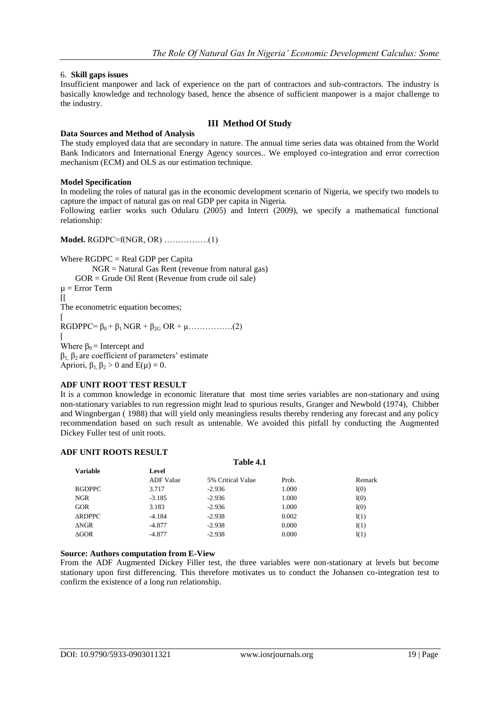#### 6. **Skill gaps issues**

Insufficient manpower and lack of experience on the part of contractors and sub-contractors. The industry is basically knowledge and technology based, hence the absence of sufficient manpower is a major challenge to the industry.

### **III Method Of Study**

#### **Data Sources and Method of Analysis**

The study employed data that are secondary in nature. The annual time series data was obtained from the World Bank Indicators and International Energy Agency sources.. We employed co-integration and error correction mechanism (ECM) and OLS as our estimation technique.

#### **Model Specification**

In modeling the roles of natural gas in the economic development scenario of Nigeria, we specify two models to capture the impact of natural gas on real GDP per capita in Nigeria.

Following earlier works such Odularu (2005) and Interri (2009), we specify a mathematical functional relationship:

#### **Model.** RGDPC=f(NGR, OR) …………….(1)

Where RGDPC = Real GDP per Capita NGR = Natural Gas Rent (revenue from natural gas) GOR = Grude Oil Rent (Revenue from crude oil sale)  $\mu$  = Error Term  $\overline{1}$ The econometric equation becomes; [  $RGDPPC = \beta_0 + \beta_1 NGR + \beta_{2G} OR + \mu$ …………..(2) [ Where  $\beta_0$  = Intercept and  $β_1$ ,  $β_2$  are coefficient of parameters' estimate Apriori,  $\beta_1$ ,  $\beta_2 > 0$  and  $E(\mu) = 0$ .

#### **ADF UNIT ROOT TEST RESULT**

It is a common knowledge in economic literature that most time series variables are non-stationary and using non-stationary variables to run regression might lead to spurious results, Granger and Newbold (1974), Chibber and Wingnbergan ( 1988) that will yield only meaningless results thereby rendering any forecast and any policy recommendation based on such result as untenable. We avoided this pitfall by conducting the Augmented Dickey Fuller test of unit roots.

#### **ADF UNIT ROOTS RESULT**

#### **Table 4.1**

| <b>Variable</b> | Level            |                   |       |        |
|-----------------|------------------|-------------------|-------|--------|
|                 | <b>ADF</b> Value | 5% Critical Value | Prob. | Remark |
| <b>RGDPPC</b>   | 3.717            | $-2.936$          | 1.000 | I(0)   |
| <b>NGR</b>      | $-3.185$         | $-2.936$          | 1.000 | I(0)   |
| <b>GOR</b>      | 3.183            | $-2.936$          | 1.000 | I(0)   |
| <b>ARDPPC</b>   | $-4.184$         | $-2.938$          | 0.002 | I(1)   |
| $\triangle NGR$ | $-4.877$         | $-2.938$          | 0.000 | I(1)   |
| $\triangle GOR$ | $-4.877$         | $-2.938$          | 0.000 | I(1)   |

#### **Source: Authors computation from E-View**

From the ADF Augmented Dickey Filler test, the three variables were non-stationary at levels but become stationary upon first differencing. This therefore motivates us to conduct the Johansen co-integration test to confirm the existence of a long run relationship.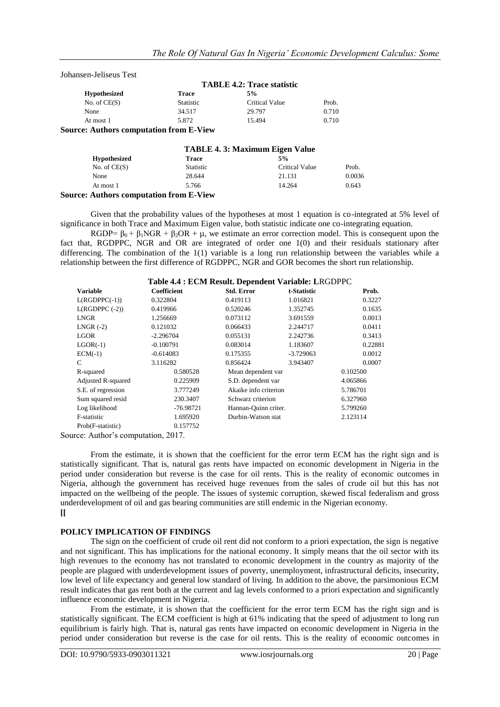Johansen-Jeliseus Test

|                                        | <b>TABLE 4.2: Trace statistic</b> |                |       |
|----------------------------------------|-----------------------------------|----------------|-------|
| <b>Hypothesized</b>                    | <b>Trace</b>                      | 5%             |       |
| No. of $CE(S)$                         | <b>Statistic</b>                  | Critical Value | Prob. |
| None                                   | 34.517                            | 29.797         | 0.710 |
| At most 1                              | 5.872                             | 15.494         | 0.710 |
| Course Authors semputation from F View |                                   |                |       |

**Source: Authors computation from E-View**

|                                                | <b>TABLE 4.3: Maximum Eigen Value</b> |                |        |  |
|------------------------------------------------|---------------------------------------|----------------|--------|--|
| <b>Hypothesized</b>                            | Trace                                 | 5%             |        |  |
| No. of $CE(S)$                                 | <b>Statistic</b>                      | Critical Value | Prob.  |  |
| None                                           | 28.644                                | 21.131         | 0.0036 |  |
| At most 1                                      | 5.766                                 | 14.264         | 0.643  |  |
| <b>Source: Authors computation from E-View</b> |                                       |                |        |  |

Given that the probability values of the hypotheses at most 1 equation is co-integrated at 5% level of significance in both Trace and Maximum Eigen value, both statistic indicate one co-integrating equation.

RGDP=  $\beta_0 + \beta_1 NGR + \beta_2 OR + \mu$ , we estimate an error correction model. This is consequent upon the fact that, RGDPPC, NGR and OR are integrated of order one 1(0) and their residuals stationary after differencing. The combination of the 1(1) variable is a long run relationship between the variables while a relationship between the first difference of RGDPPC, NGR and GOR becomes the short run relationship.

| Table 4.4 : ECM Result. Dependent Variable: LRGDPPC |             |                       |             |          |  |  |
|-----------------------------------------------------|-------------|-----------------------|-------------|----------|--|--|
| <b>Variable</b>                                     | Coefficient | <b>Std. Error</b>     | t-Statistic | Prob.    |  |  |
| $L(RGDPPC(-1))$                                     | 0.322804    | 0.419113              | 1.016821    | 0.3227   |  |  |
| $L(RGDPPC (-2))$                                    | 0.419966    | 0.520246              | 1.352745    | 0.1635   |  |  |
| LNGR                                                | 1.256669    | 0.073112              | 3.691559    | 0.0013   |  |  |
| $LNGR$ (-2)                                         | 0.121032    | 0.066433              | 2.244717    | 0.0411   |  |  |
| LGOR                                                | $-2.296704$ | 0.055131              | 2.242736    | 0.3413   |  |  |
| $LGOR(-1)$                                          | $-0.100791$ | 0.083014              | 1.183607    | 0.22881  |  |  |
| $ECM(-1)$                                           | $-0.614083$ | 0.175355              | $-3.729063$ | 0.0012   |  |  |
| C                                                   | 3.116282    | 0.856424              | 3.943407    | 0.0007   |  |  |
| R-squared                                           | 0.580528    | Mean dependent var    |             | 0.102500 |  |  |
| Adjusted R-squared                                  | 0.225909    | S.D. dependent var    |             | 4.065866 |  |  |
| S.E. of regression                                  | 3.777249    | Akaike info criterion |             | 5.786701 |  |  |
| Sum squared resid                                   | 230.3407    | Schwarz criterion     |             | 6.327960 |  |  |
| Log likelihood                                      | $-76.98721$ | Hannan-Quinn criter.  |             | 5.799260 |  |  |
| F-statistic                                         | 1.695920    | Durbin-Watson stat    |             | 2.123114 |  |  |
| Prob(F-statistic)                                   | 0.157752    |                       |             |          |  |  |

Source: Author's computation, 2017.

From the estimate, it is shown that the coefficient for the error term ECM has the right sign and is statistically significant. That is, natural gas rents have impacted on economic development in Nigeria in the period under consideration but reverse is the case for oil rents. This is the reality of economic outcomes in Nigeria, although the government has received huge revenues from the sales of crude oil but this has not impacted on the wellbeing of the people. The issues of systemic corruption, skewed fiscal federalism and gross underdevelopment of oil and gas bearing communities are still endemic in the Nigerian economy. **[[**

#### **POLICY IMPLICATION OF FINDINGS**

The sign on the coefficient of crude oil rent did not conform to a priori expectation, the sign is negative and not significant. This has implications for the national economy. It simply means that the oil sector with its high revenues to the economy has not translated to economic development in the country as majority of the people are plagued with underdevelopment issues of poverty, unemployment, infrastructural deficits, insecurity, low level of life expectancy and general low standard of living. In addition to the above, the parsimonious ECM result indicates that gas rent both at the current and lag levels conformed to a priori expectation and significantly influence economic development in Nigeria.

From the estimate, it is shown that the coefficient for the error term ECM has the right sign and is statistically significant. The ECM coefficient is high at 61% indicating that the speed of adjustment to long run equilibrium is fairly high. That is, natural gas rents have impacted on economic development in Nigeria in the period under consideration but reverse is the case for oil rents. This is the reality of economic outcomes in